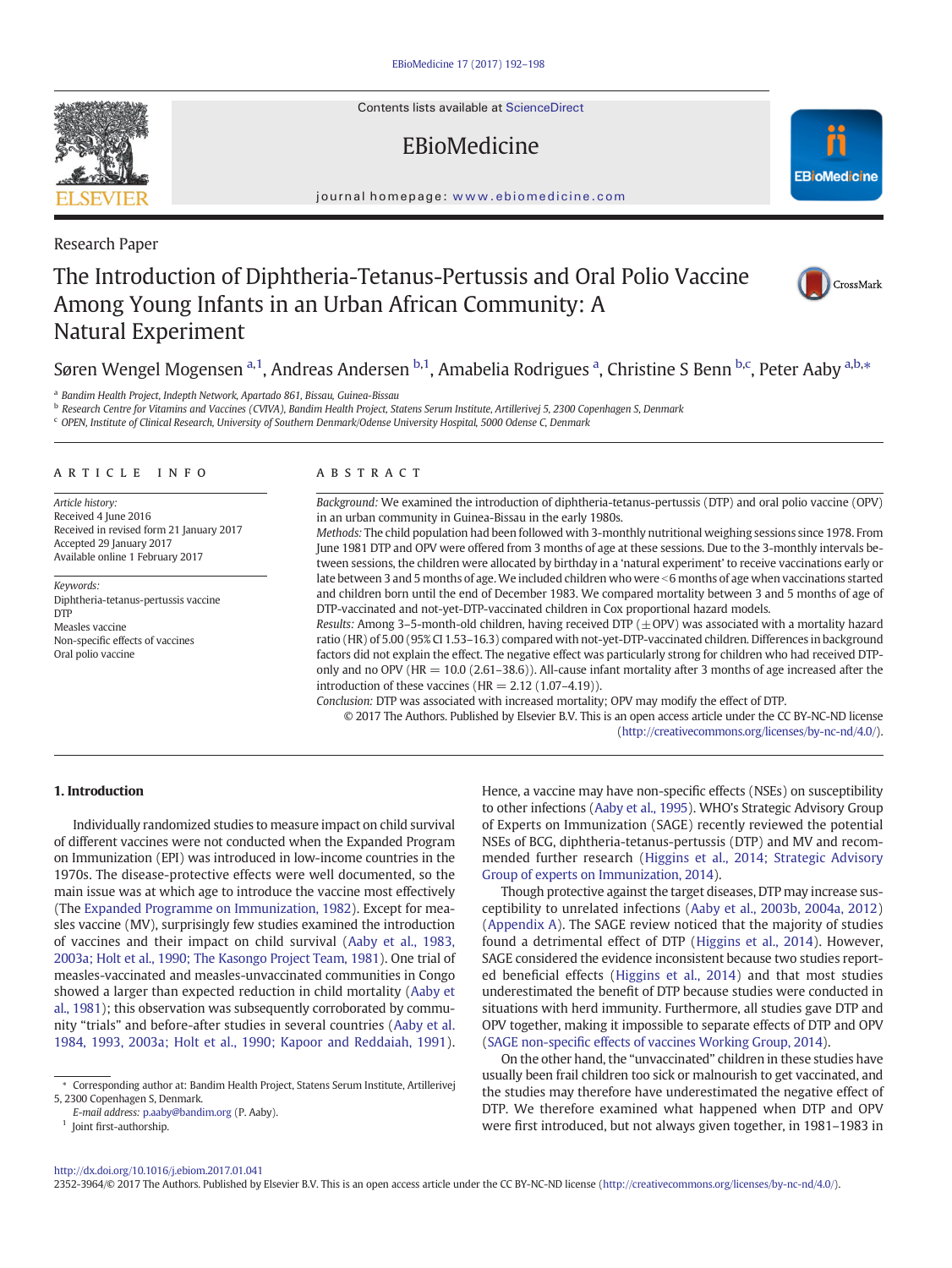Contents lists available at [ScienceDirect](http://www.sciencedirect.com/science/journal/03064603)

# EBioMedicine



journal homepage: <www.ebiomedicine.com>

Research Paper

# The Introduction of Diphtheria-Tetanus-Pertussis and Oral Polio Vaccine Among Young Infants in an Urban African Community: A Natural Experiment



## Søren Wengel Mogensen <sup>a, 1</sup>, Andreas Andersen <sup>b, 1</sup>, Amabelia Rodrigues <sup>a</sup>, Christine S Benn <sup>b,c</sup>, Peter Aaby <sup>a,b,</sup>\*

<sup>a</sup> Bandim Health Project, Indepth Network, Apartado 861, Bissau, Guinea-Bissau

<sup>b</sup> Research Centre for Vitamins and Vaccines (CVIVA), Bandim Health Project, Statens Serum Institute, Artillerivej 5, 2300 Copenhagen S, Denmark

<sup>c</sup> OPEN, Institute of Clinical Research, University of Southern Denmark/Odense University Hospital, 5000 Odense C, Denmark

#### article info abstract

Article history: Received 4 June 2016 Received in revised form 21 January 2017 Accepted 29 January 2017 Available online 1 February 2017

Keywords: Diphtheria-tetanus-pertussis vaccine DTP Measles vaccine Non-specific effects of vaccines Oral polio vaccine

Background: We examined the introduction of diphtheria-tetanus-pertussis (DTP) and oral polio vaccine (OPV) in an urban community in Guinea-Bissau in the early 1980s.

Methods: The child population had been followed with 3-monthly nutritional weighing sessions since 1978. From June 1981 DTP and OPV were offered from 3 months of age at these sessions. Due to the 3-monthly intervals between sessions, the children were allocated by birthday in a 'natural experiment' to receive vaccinations early or late between 3 and 5 months of age. We included children who were  $<$  6 months of age when vaccinations started and children born until the end of December 1983. We compared mortality between 3 and 5 months of age of DTP-vaccinated and not-yet-DTP-vaccinated children in Cox proportional hazard models.

Results: Among 3–5-month-old children, having received DTP ( $\pm$ OPV) was associated with a mortality hazard ratio (HR) of 5.00 (95% CI 1.53–16.3) compared with not-yet-DTP-vaccinated children. Differences in background factors did not explain the effect. The negative effect was particularly strong for children who had received DTPonly and no OPV ( $HR = 10.0$  (2.61–38.6)). All-cause infant mortality after 3 months of age increased after the introduction of these vaccines ( $HR = 2.12$  (1.07–4.19)).

Conclusion: DTP was associated with increased mortality; OPV may modify the effect of DTP.

© 2017 The Authors. Published by Elsevier B.V. This is an open access article under the CC BY-NC-ND license [\(http://creativecommons.org/licenses/by-nc-nd/4.0/](http://creativecommons.org/licenses/by-nc-nd/4.0/)).

### 1. Introduction

Individually randomized studies to measure impact on child survival of different vaccines were not conducted when the Expanded Program on Immunization (EPI) was introduced in low-income countries in the 1970s. The disease-protective effects were well documented, so the main issue was at which age to introduce the vaccine most effectively (The [Expanded Programme on Immunization, 1982\)](#page-6-0). Except for measles vaccine (MV), surprisingly few studies examined the introduction of vaccines and their impact on child survival ([Aaby et al., 1983,](#page-6-0) [2003a; Holt et al., 1990; The Kasongo Project Team, 1981](#page-6-0)). One trial of measles-vaccinated and measles-unvaccinated communities in Congo showed a larger than expected reduction in child mortality [\(Aaby et](#page-6-0) [al., 1981](#page-6-0)); this observation was subsequently corroborated by community "trials" and before-after studies in several countries [\(Aaby et al.](#page-6-0) [1984, 1993, 2003a; Holt et al., 1990; Kapoor and Reddaiah, 1991](#page-6-0)).

 $^{\rm 1}$  Joint first-authorship.

Hence, a vaccine may have non-specific effects (NSEs) on susceptibility to other infections [\(Aaby et al., 1995](#page-6-0)). WHO's Strategic Advisory Group of Experts on Immunization (SAGE) recently reviewed the potential NSEs of BCG, diphtheria-tetanus-pertussis (DTP) and MV and recommended further research ([Higgins et al., 2014; Strategic Advisory](#page-6-0) [Group of experts on Immunization, 2014](#page-6-0)).

Though protective against the target diseases, DTP may increase susceptibility to unrelated infections [\(Aaby et al., 2003b, 2004a, 2012](#page-6-0)) [\(Appendix A](#page-6-0)). The SAGE review noticed that the majority of studies found a detrimental effect of DTP ([Higgins et al., 2014\)](#page-6-0). However, SAGE considered the evidence inconsistent because two studies reported beneficial effects [\(Higgins et al., 2014\)](#page-6-0) and that most studies underestimated the benefit of DTP because studies were conducted in situations with herd immunity. Furthermore, all studies gave DTP and OPV together, making it impossible to separate effects of DTP and OPV (SAGE non-specifi[c effects of vaccines Working Group, 2014\)](#page-6-0).

On the other hand, the "unvaccinated" children in these studies have usually been frail children too sick or malnourish to get vaccinated, and the studies may therefore have underestimated the negative effect of DTP. We therefore examined what happened when DTP and OPV were first introduced, but not always given together, in 1981–1983 in

#### <http://dx.doi.org/10.1016/j.ebiom.2017.01.041>

2352-3964/© 2017 The Authors. Published by Elsevier B.V. This is an open access article under the CC BY-NC-ND license [\(http://creativecommons.org/licenses/by-nc-nd/4.0/\)](http://creativecommons.org/licenses/by-nc-nd/4.0/).



<sup>⁎</sup> Corresponding author at: Bandim Health Project, Statens Serum Institute, Artillerivej 5, 2300 Copenhagen S, Denmark.

E-mail address: [p.aaby@bandim.org](mailto:p.aaby@bandim.org) (P. Aaby).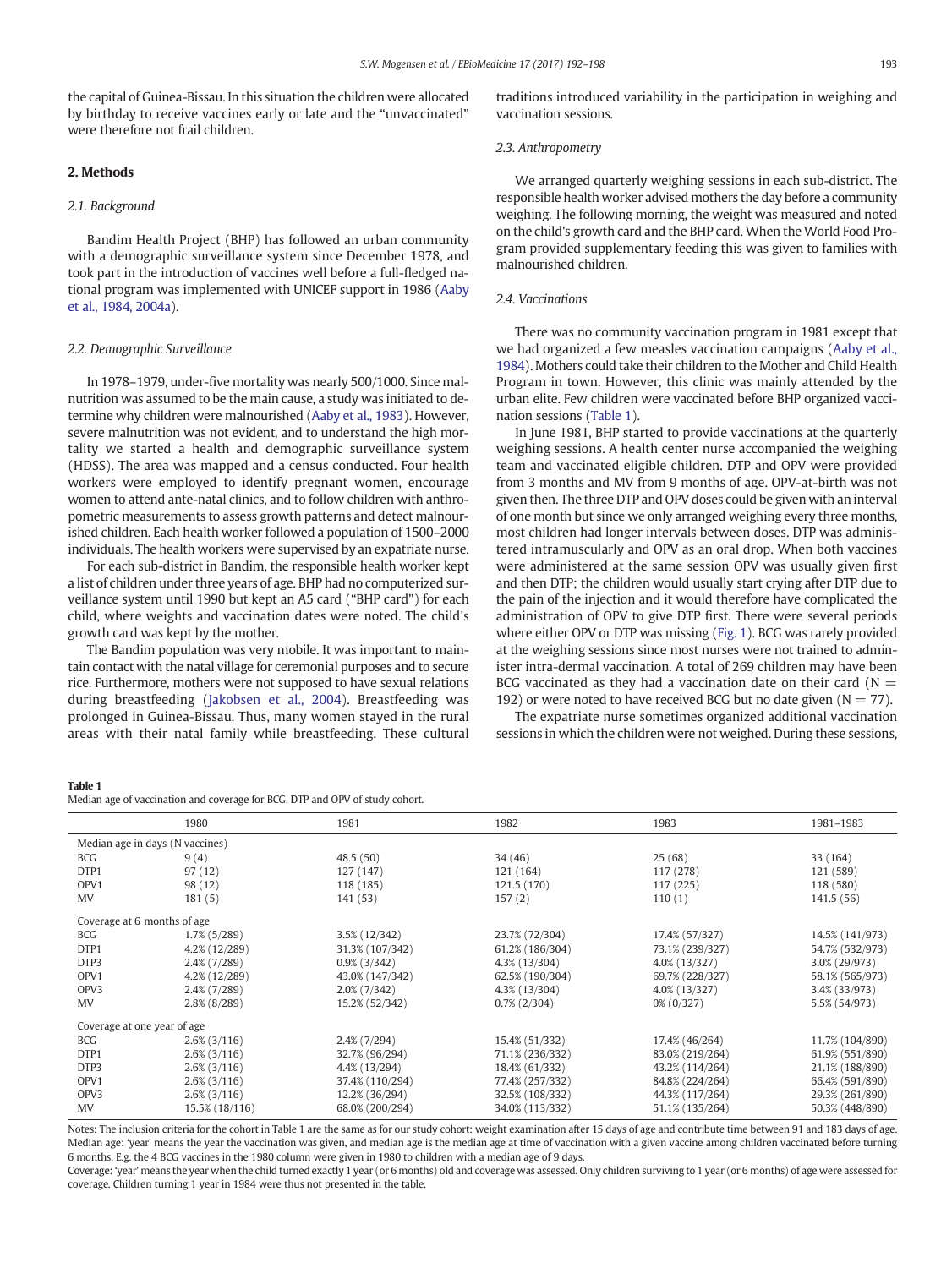<span id="page-1-0"></span>the capital of Guinea-Bissau. In this situation the children were allocated by birthday to receive vaccines early or late and the "unvaccinated" were therefore not frail children.

#### 2. Methods

#### 2.1. Background

Bandim Health Project (BHP) has followed an urban community with a demographic surveillance system since December 1978, and took part in the introduction of vaccines well before a full-fledged national program was implemented with UNICEF support in 1986 ([Aaby](#page-6-0) [et al., 1984, 2004a\)](#page-6-0).

#### 2.2. Demographic Surveillance

In 1978–1979, under-five mortality was nearly 500/1000. Since malnutrition was assumed to be the main cause, a study was initiated to determine why children were malnourished [\(Aaby et al., 1983\)](#page-6-0). However, severe malnutrition was not evident, and to understand the high mortality we started a health and demographic surveillance system (HDSS). The area was mapped and a census conducted. Four health workers were employed to identify pregnant women, encourage women to attend ante-natal clinics, and to follow children with anthropometric measurements to assess growth patterns and detect malnourished children. Each health worker followed a population of 1500–2000 individuals. The health workers were supervised by an expatriate nurse.

For each sub-district in Bandim, the responsible health worker kept a list of children under three years of age. BHP had no computerized surveillance system until 1990 but kept an A5 card ("BHP card") for each child, where weights and vaccination dates were noted. The child's growth card was kept by the mother.

The Bandim population was very mobile. It was important to maintain contact with the natal village for ceremonial purposes and to secure rice. Furthermore, mothers were not supposed to have sexual relations during breastfeeding [\(Jakobsen et al., 2004\)](#page-6-0). Breastfeeding was prolonged in Guinea-Bissau. Thus, many women stayed in the rural areas with their natal family while breastfeeding. These cultural traditions introduced variability in the participation in weighing and vaccination sessions.

#### 2.3. Anthropometry

We arranged quarterly weighing sessions in each sub-district. The responsible health worker advised mothers the day before a community weighing. The following morning, the weight was measured and noted on the child's growth card and the BHP card. When the World Food Program provided supplementary feeding this was given to families with malnourished children.

#### 2.4. Vaccinations

There was no community vaccination program in 1981 except that we had organized a few measles vaccination campaigns [\(Aaby et al.,](#page-6-0) [1984](#page-6-0)). Mothers could take their children to the Mother and Child Health Program in town. However, this clinic was mainly attended by the urban elite. Few children were vaccinated before BHP organized vaccination sessions (Table 1).

In June 1981, BHP started to provide vaccinations at the quarterly weighing sessions. A health center nurse accompanied the weighing team and vaccinated eligible children. DTP and OPV were provided from 3 months and MV from 9 months of age. OPV-at-birth was not given then. The three DTP and OPV doses could be given with an interval of one month but since we only arranged weighing every three months, most children had longer intervals between doses. DTP was administered intramuscularly and OPV as an oral drop. When both vaccines were administered at the same session OPV was usually given first and then DTP; the children would usually start crying after DTP due to the pain of the injection and it would therefore have complicated the administration of OPV to give DTP first. There were several periods where either OPV or DTP was missing [\(Fig. 1](#page-2-0)). BCG was rarely provided at the weighing sessions since most nurses were not trained to administer intra-dermal vaccination. A total of 269 children may have been BCG vaccinated as they had a vaccination date on their card ( $N =$ 192) or were noted to have received BCG but no date given ( $N = 77$ ).

The expatriate nurse sometimes organized additional vaccination sessions in which the children were not weighed. During these sessions,

#### Table 1

Median age of vaccination and coverage for BCG, DTP and OPV of study cohort.

|                                 | 1980            | 1981            | 1982            | 1983            | 1981-1983       |
|---------------------------------|-----------------|-----------------|-----------------|-----------------|-----------------|
| Median age in days (N vaccines) |                 |                 |                 |                 |                 |
| <b>BCG</b>                      | 9(4)            | 48.5(50)        | 34(46)          | 25(68)          | 33 (164)        |
| DTP1                            | 97(12)          | 127 (147)       | 121 (164)       | 117 (278)       | 121 (589)       |
| OPV1                            | 98 (12)         | 118 (185)       | 121.5 (170)     | 117(225)        | 118 (580)       |
| <b>MV</b>                       | 181(5)          | 141 (53)        | 157(2)          | 110(1)          | 141.5(56)       |
| Coverage at 6 months of age     |                 |                 |                 |                 |                 |
| <b>BCG</b>                      | 1.7% (5/289)    | 3.5% (12/342)   | 23.7% (72/304)  | 17.4% (57/327)  | 14.5% (141/973) |
| DTP1                            | 4.2% (12/289)   | 31.3% (107/342) | 61.2% (186/304) | 73.1% (239/327) | 54.7% (532/973) |
| DTP3                            | $2.4\%$ (7/289) | $0.9\%$ (3/342) | 4.3% (13/304)   | 4.0% (13/327)   | 3.0% (29/973)   |
| OPV1                            | 4.2% (12/289)   | 43.0% (147/342) | 62.5% (190/304) | 69.7% (228/327) | 58.1% (565/973) |
| OPV3                            | 2.4% (7/289)    | $2.0\%$ (7/342) | 4.3% (13/304)   | 4.0% (13/327)   | 3.4% (33/973)   |
| <b>MV</b>                       | $2.8\%$ (8/289) | 15.2% (52/342)  | $0.7\%$ (2/304) | $0\% (0/327)$   | 5.5% (54/973)   |
| Coverage at one year of age     |                 |                 |                 |                 |                 |
| <b>BCG</b>                      | $2.6\%$ (3/116) | $2.4\%$ (7/294) | 15.4% (51/332)  | 17.4% (46/264)  | 11.7% (104/890) |
| DTP1                            | $2.6\%$ (3/116) | 32.7% (96/294)  | 71.1% (236/332) | 83.0% (219/264) | 61.9% (551/890) |
| DTP3                            | $2.6\%$ (3/116) | 4.4% (13/294)   | 18.4% (61/332)  | 43.2% (114/264) | 21.1% (188/890) |
| OPV1                            | $2.6\%$ (3/116) | 37.4% (110/294) | 77.4% (257/332) | 84.8% (224/264) | 66.4% (591/890) |
| OPV3                            | $2.6\%$ (3/116) | 12.2% (36/294)  | 32.5% (108/332) | 44.3% (117/264) | 29.3% (261/890) |
| MV                              | 15.5% (18/116)  | 68.0% (200/294) | 34.0% (113/332) | 51.1% (135/264) | 50.3% (448/890) |

Notes: The inclusion criteria for the cohort in Table 1 are the same as for our study cohort: weight examination after 15 days of age and contribute time between 91 and 183 days of age. Median age: 'year' means the year the vaccination was given, and median age is the median age at time of vaccination with a given vaccine among children vaccinated before turning 6 months. E.g. the 4 BCG vaccines in the 1980 column were given in 1980 to children with a median age of 9 days.

Coverage: 'year' means the year when the child turned exactly 1 year (or 6 months) old and coverage was assessed. Only children surviving to 1 year (or 6 months) of age were assessed for coverage. Children turning 1 year in 1984 were thus not presented in the table.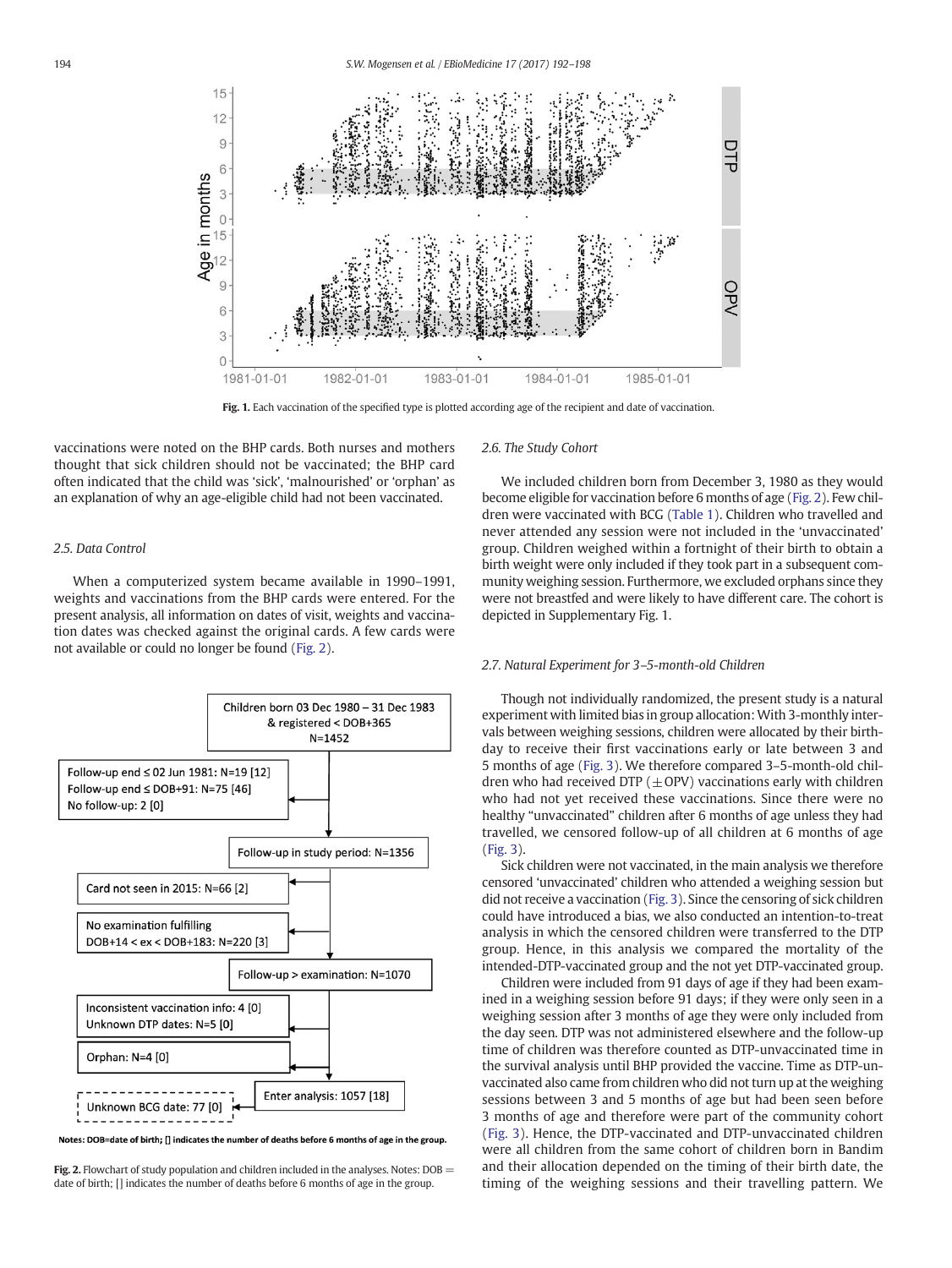<span id="page-2-0"></span>

Fig. 1. Each vaccination of the specified type is plotted according age of the recipient and date of vaccination.

vaccinations were noted on the BHP cards. Both nurses and mothers thought that sick children should not be vaccinated; the BHP card often indicated that the child was 'sick', 'malnourished' or 'orphan' as an explanation of why an age-eligible child had not been vaccinated.

#### 2.5. Data Control

When a computerized system became available in 1990–1991, weights and vaccinations from the BHP cards were entered. For the present analysis, all information on dates of visit, weights and vaccination dates was checked against the original cards. A few cards were not available or could no longer be found (Fig. 2).



Notes: DOB=date of birth; [] indicates the number of deaths before 6 months of age in the group.

Fig. 2. Flowchart of study population and children included in the analyses. Notes:  $DOB =$ date of birth; [] indicates the number of deaths before 6 months of age in the group.

#### 2.6. The Study Cohort

We included children born from December 3, 1980 as they would become eligible for vaccination before 6 months of age (Fig. 2). Few children were vaccinated with BCG ([Table 1\)](#page-1-0). Children who travelled and never attended any session were not included in the 'unvaccinated' group. Children weighed within a fortnight of their birth to obtain a birth weight were only included if they took part in a subsequent community weighing session. Furthermore, we excluded orphans since they were not breastfed and were likely to have different care. The cohort is depicted in Supplementary Fig. 1.

#### 2.7. Natural Experiment for 3–5-month-old Children

Though not individually randomized, the present study is a natural experiment with limited bias in group allocation: With 3-monthly intervals between weighing sessions, children were allocated by their birthday to receive their first vaccinations early or late between 3 and 5 months of age [\(Fig. 3](#page-3-0)). We therefore compared 3–5-month-old children who had received DTP ( $\pm$ OPV) vaccinations early with children who had not yet received these vaccinations. Since there were no healthy "unvaccinated" children after 6 months of age unless they had travelled, we censored follow-up of all children at 6 months of age [\(Fig. 3\)](#page-3-0).

Sick children were not vaccinated, in the main analysis we therefore censored 'unvaccinated' children who attended a weighing session but did not receive a vaccination [\(Fig. 3](#page-3-0)). Since the censoring of sick children could have introduced a bias, we also conducted an intention-to-treat analysis in which the censored children were transferred to the DTP group. Hence, in this analysis we compared the mortality of the intended-DTP-vaccinated group and the not yet DTP-vaccinated group.

Children were included from 91 days of age if they had been examined in a weighing session before 91 days; if they were only seen in a weighing session after 3 months of age they were only included from the day seen. DTP was not administered elsewhere and the follow-up time of children was therefore counted as DTP-unvaccinated time in the survival analysis until BHP provided the vaccine. Time as DTP-unvaccinated also came from children who did not turn up at the weighing sessions between 3 and 5 months of age but had been seen before 3 months of age and therefore were part of the community cohort [\(Fig. 3](#page-3-0)). Hence, the DTP-vaccinated and DTP-unvaccinated children were all children from the same cohort of children born in Bandim and their allocation depended on the timing of their birth date, the timing of the weighing sessions and their travelling pattern. We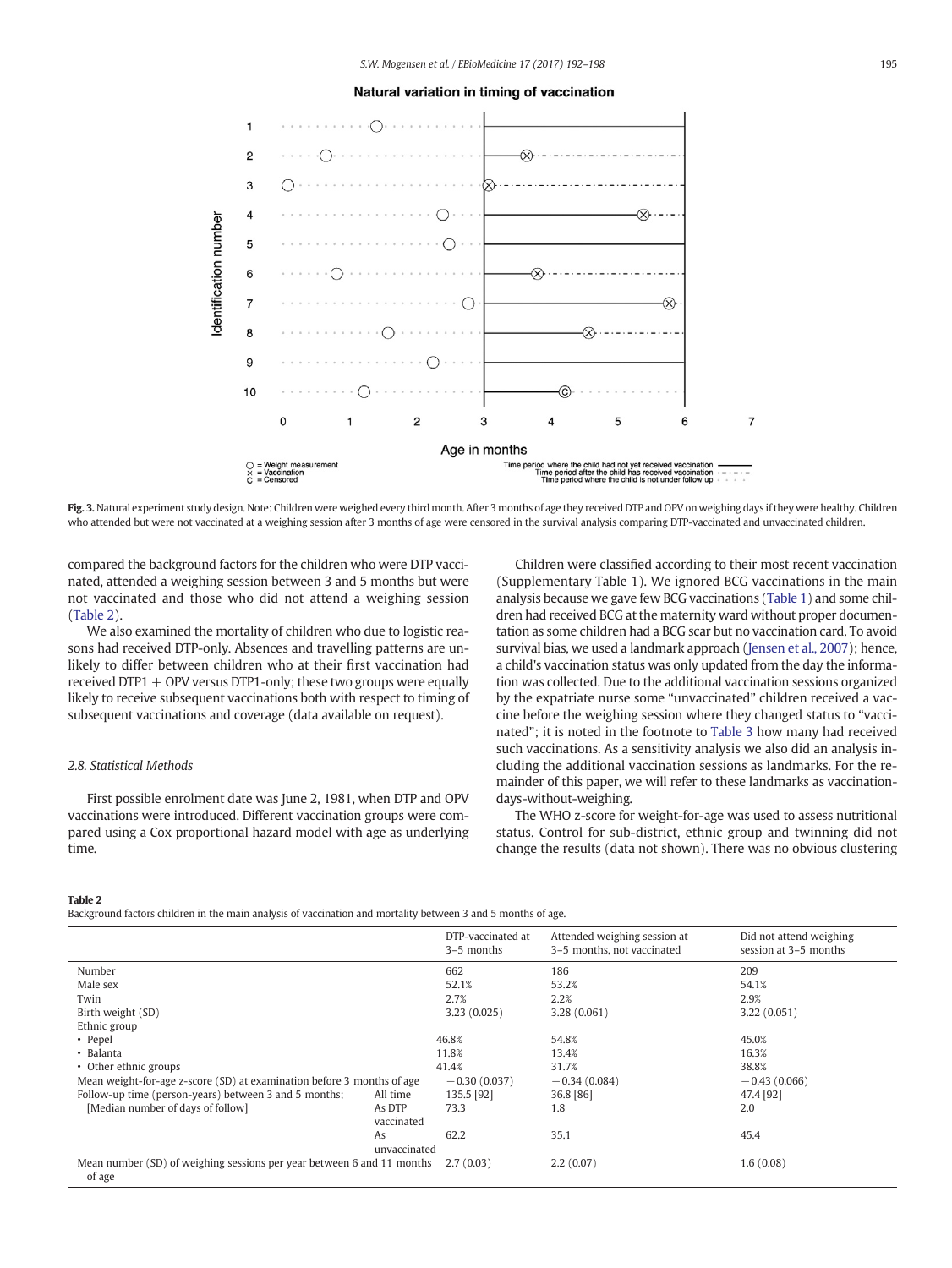#### Natural variation in timing of vaccination

<span id="page-3-0"></span>

Fig. 3. Natural experiment study design. Note: Children were weighed every third month. After 3 months of age they received DTP and OPV on weighing days if they were healthy. Children who attended but were not vaccinated at a weighing session after 3 months of age were censored in the survival analysis comparing DTP-vaccinated and unvaccinated children.

compared the background factors for the children who were DTP vaccinated, attended a weighing session between 3 and 5 months but were not vaccinated and those who did not attend a weighing session (Table 2).

We also examined the mortality of children who due to logistic reasons had received DTP-only. Absences and travelling patterns are unlikely to differ between children who at their first vaccination had received  $DTP1 + OPV$  versus  $DTP1$ -only; these two groups were equally likely to receive subsequent vaccinations both with respect to timing of subsequent vaccinations and coverage (data available on request).

#### 2.8. Statistical Methods

First possible enrolment date was June 2, 1981, when DTP and OPV vaccinations were introduced. Different vaccination groups were compared using a Cox proportional hazard model with age as underlying time.

Children were classified according to their most recent vaccination (Supplementary Table 1). We ignored BCG vaccinations in the main analysis because we gave few BCG vaccinations [\(Table 1](#page-1-0)) and some children had received BCG at the maternity ward without proper documentation as some children had a BCG scar but no vaccination card. To avoid survival bias, we used a landmark approach [\(Jensen et al., 2007\)](#page-6-0); hence, a child's vaccination status was only updated from the day the information was collected. Due to the additional vaccination sessions organized by the expatriate nurse some "unvaccinated" children received a vaccine before the weighing session where they changed status to "vaccinated"; it is noted in the footnote to [Table 3](#page-4-0) how many had received such vaccinations. As a sensitivity analysis we also did an analysis including the additional vaccination sessions as landmarks. For the remainder of this paper, we will refer to these landmarks as vaccinationdays-without-weighing.

The WHO z-score for weight-for-age was used to assess nutritional status. Control for sub-district, ethnic group and twinning did not change the results (data not shown). There was no obvious clustering

#### Table 2

Background factors children in the main analysis of vaccination and mortality between 3 and 5 months of age.

|                                                                                  |                      | DTP-vaccinated at<br>3–5 months | Attended weighing session at<br>3-5 months, not vaccinated | Did not attend weighing<br>session at 3-5 months |
|----------------------------------------------------------------------------------|----------------------|---------------------------------|------------------------------------------------------------|--------------------------------------------------|
| Number                                                                           |                      | 662                             | 186                                                        | 209                                              |
| Male sex                                                                         |                      | 52.1%                           | 53.2%                                                      | 54.1%                                            |
| Twin                                                                             |                      | 2.7%                            | 2.2%                                                       | 2.9%                                             |
| Birth weight (SD)                                                                |                      | 3.23(0.025)                     | 3.28(0.061)                                                | 3.22(0.051)                                      |
| Ethnic group                                                                     |                      |                                 |                                                            |                                                  |
| • Pepel                                                                          |                      | 46.8%                           | 54.8%                                                      | 45.0%                                            |
| • Balanta                                                                        |                      | 11.8%                           | 13.4%                                                      | 16.3%                                            |
| • Other ethnic groups                                                            |                      | 41.4%                           | 31.7%                                                      | 38.8%                                            |
| Mean weight-for-age z-score (SD) at examination before 3 months of age           |                      | $-0.30(0.037)$                  | $-0.34(0.084)$                                             | $-0.43(0.066)$                                   |
| Follow-up time (person-years) between 3 and 5 months;                            | All time             | 135.5 [92]                      | 36.8 [86]                                                  | 47.4 [92]                                        |
| [Median number of days of follow]                                                | As DTP<br>vaccinated | 73.3                            | 1.8                                                        | 2.0                                              |
|                                                                                  | As<br>unvaccinated   | 62.2                            | 35.1                                                       | 45.4                                             |
| Mean number (SD) of weighing sessions per year between 6 and 11 months<br>of age |                      | 2.7(0.03)                       | 2.2(0.07)                                                  | 1.6(0.08)                                        |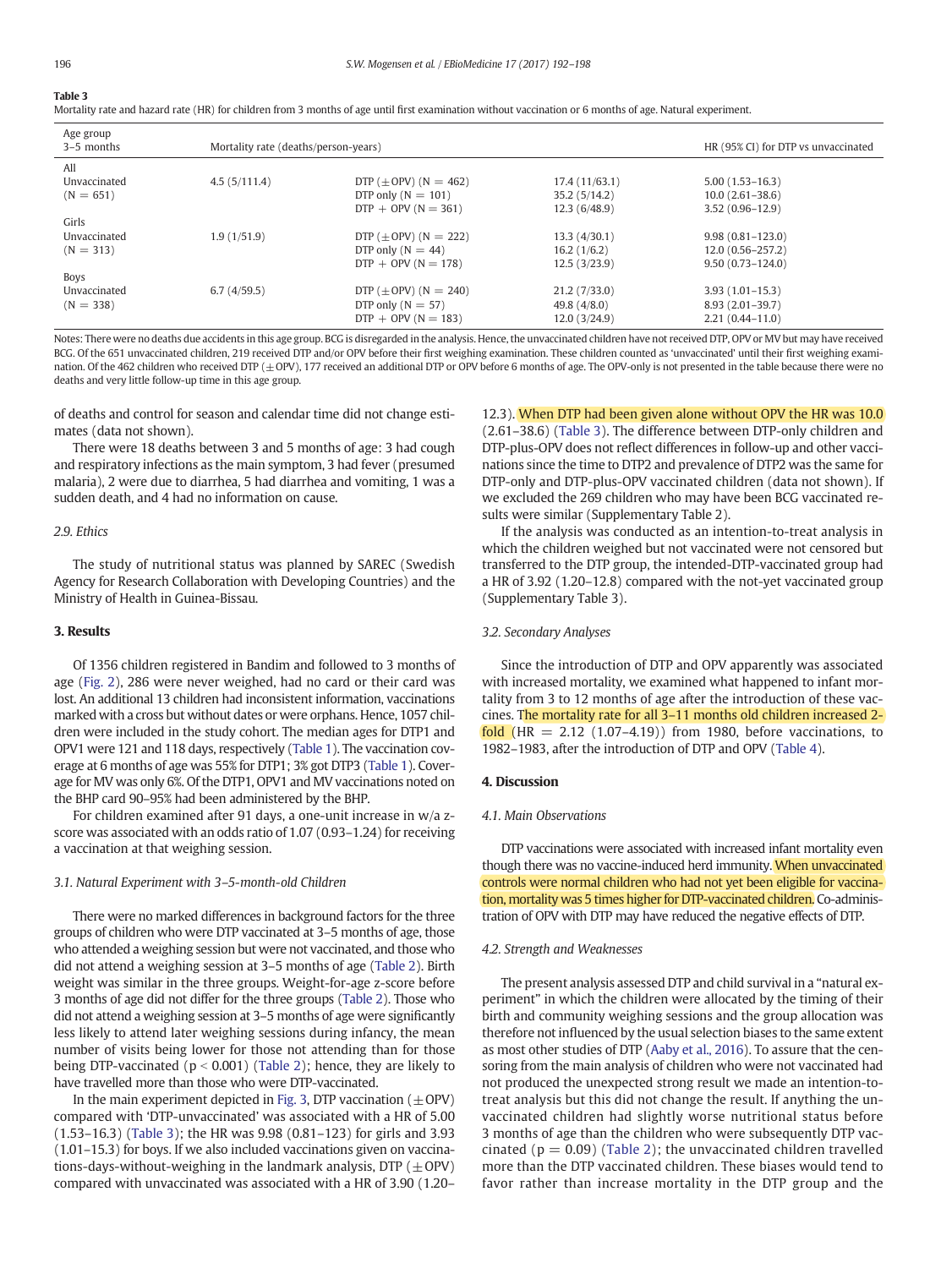#### <span id="page-4-0"></span>Table 3

Mortality rate and hazard rate (HR) for children from 3 months of age until first examination without vaccination or 6 months of age. Natural experiment.

| Age group<br>3-5 months | Mortality rate (deaths/person-years) | HR (95% CI) for DTP vs unvaccinated |                |                      |
|-------------------------|--------------------------------------|-------------------------------------|----------------|----------------------|
| All                     |                                      |                                     |                |                      |
| Unvaccinated            | 4.5(5/111.4)                         | DTP $(\pm$ OPV) (N = 462)           | 17.4(11/63.1)  | $5.00(1.53 - 16.3)$  |
| $(N = 651)$             |                                      | DTP only $(N = 101)$                | 35.2(5/14.2)   | $10.0(2.61 - 38.6)$  |
|                         |                                      | $DTP + OPV (N = 361)$               | 12.3(6/48.9)   | $3.52(0.96-12.9)$    |
| Girls                   |                                      |                                     |                |                      |
| Unvaccinated            | 1.9(1/51.9)                          | DTP $(\pm$ OPV) (N = 222)           | 13.3(4/30.1)   | $9.98(0.81 - 123.0)$ |
| $(N = 313)$             |                                      | DTP only $(N = 44)$                 | 16.2(1/6.2)    | $12.0(0.56 - 257.2)$ |
|                         |                                      | $DTP + OPV (N = 178)$               | 12.5(3/23.9)   | $9.50(0.73 - 124.0)$ |
| <b>Boys</b>             |                                      |                                     |                |                      |
| Unvaccinated            | 6.7(4/59.5)                          | DTP $(\pm$ OPV) (N = 240)           | 21.2(7/33.0)   | $3.93(1.01-15.3)$    |
| $(N = 338)$             |                                      | DTP only $(N = 57)$                 | 49.8 $(4/8.0)$ | $8.93(2.01-39.7)$    |
|                         |                                      | $DTP + OPV (N = 183)$               | 12.0(3/24.9)   | $2.21(0.44 - 11.0)$  |

Notes: There were no deaths due accidents in this age group. BCG is disregarded in the analysis. Hence, the unvaccinated children have not received DTP, OPV or MV but may have received BCG. Of the 651 unvaccinated children, 219 received DTP and/or OPV before their first weighing examination. These children counted as 'unvaccinated' until their first weighing examination. Of the 462 children who received DTP ( $\pm$ OPV), 177 received an additional DTP or OPV before 6 months of age. The OPV-only is not presented in the table because there were no deaths and very little follow-up time in this age group.

of deaths and control for season and calendar time did not change estimates (data not shown).

There were 18 deaths between 3 and 5 months of age: 3 had cough and respiratory infections as the main symptom, 3 had fever (presumed malaria), 2 were due to diarrhea, 5 had diarrhea and vomiting, 1 was a sudden death, and 4 had no information on cause.

#### 2.9. Ethics

The study of nutritional status was planned by SAREC (Swedish Agency for Research Collaboration with Developing Countries) and the Ministry of Health in Guinea-Bissau.

#### 3. Results

Of 1356 children registered in Bandim and followed to 3 months of age [\(Fig. 2\)](#page-2-0), 286 were never weighed, had no card or their card was lost. An additional 13 children had inconsistent information, vaccinations marked with a cross but without dates or were orphans. Hence, 1057 children were included in the study cohort. The median ages for DTP1 and OPV1 were 121 and 118 days, respectively [\(Table 1\)](#page-1-0). The vaccination coverage at 6 months of age was 55% for DTP1; 3% got DTP3 ([Table 1](#page-1-0)). Coverage for MV was only 6%. Of the DTP1, OPV1 and MV vaccinations noted on the BHP card 90–95% had been administered by the BHP.

For children examined after 91 days, a one-unit increase in w/a zscore was associated with an odds ratio of 1.07 (0.93–1.24) for receiving a vaccination at that weighing session.

#### 3.1. Natural Experiment with 3–5-month-old Children

There were no marked differences in background factors for the three groups of children who were DTP vaccinated at 3–5 months of age, those who attended a weighing session but were not vaccinated, and those who did not attend a weighing session at 3–5 months of age ([Table 2](#page-3-0)). Birth weight was similar in the three groups. Weight-for-age z-score before 3 months of age did not differ for the three groups ([Table 2\)](#page-3-0). Those who did not attend a weighing session at 3–5 months of age were significantly less likely to attend later weighing sessions during infancy, the mean number of visits being lower for those not attending than for those being DTP-vaccinated ( $p < 0.001$ ) [\(Table 2](#page-3-0)); hence, they are likely to have travelled more than those who were DTP-vaccinated.

In the main experiment depicted in [Fig. 3](#page-3-0), DTP vaccination ( $\pm$ OPV) compared with 'DTP-unvaccinated' was associated with a HR of 5.00 (1.53–16.3) (Table 3); the HR was 9.98 (0.81–123) for girls and 3.93 (1.01–15.3) for boys. If we also included vaccinations given on vaccinations-days-without-weighing in the landmark analysis, DTP  $(\pm$ OPV) compared with unvaccinated was associated with a HR of 3.90 (1.20– 12.3). When DTP had been given alone without OPV the HR was 10.0 (2.61–38.6) (Table 3). The difference between DTP-only children and DTP-plus-OPV does not reflect differences in follow-up and other vaccinations since the time to DTP2 and prevalence of DTP2 was the same for DTP-only and DTP-plus-OPV vaccinated children (data not shown). If we excluded the 269 children who may have been BCG vaccinated results were similar (Supplementary Table 2).

If the analysis was conducted as an intention-to-treat analysis in which the children weighed but not vaccinated were not censored but transferred to the DTP group, the intended-DTP-vaccinated group had a HR of 3.92 (1.20–12.8) compared with the not-yet vaccinated group (Supplementary Table 3).

#### 3.2. Secondary Analyses

Since the introduction of DTP and OPV apparently was associated with increased mortality, we examined what happened to infant mortality from 3 to 12 months of age after the introduction of these vaccines. The mortality rate for all 3–11 months old children increased 2 fold  $(HR = 2.12 (1.07–4.19))$  from 1980, before vaccinations, to 1982–1983, after the introduction of DTP and OPV ([Table 4](#page-5-0)).

#### 4. Discussion

#### 4.1. Main Observations

DTP vaccinations were associated with increased infant mortality even though there was no vaccine-induced herd immunity. When unvaccinated controls were normal children who had not yet been eligible for vaccination, mortality was 5 times higher for DTP-vaccinated children. Co-administration of OPV with DTP may have reduced the negative effects of DTP.

#### 4.2. Strength and Weaknesses

The present analysis assessed DTP and child survival in a "natural experiment" in which the children were allocated by the timing of their birth and community weighing sessions and the group allocation was therefore not influenced by the usual selection biases to the same extent as most other studies of DTP [\(Aaby et al., 2016](#page-6-0)). To assure that the censoring from the main analysis of children who were not vaccinated had not produced the unexpected strong result we made an intention-totreat analysis but this did not change the result. If anything the unvaccinated children had slightly worse nutritional status before 3 months of age than the children who were subsequently DTP vaccinated ( $p = 0.09$ ) ([Table 2\)](#page-3-0); the unvaccinated children travelled more than the DTP vaccinated children. These biases would tend to favor rather than increase mortality in the DTP group and the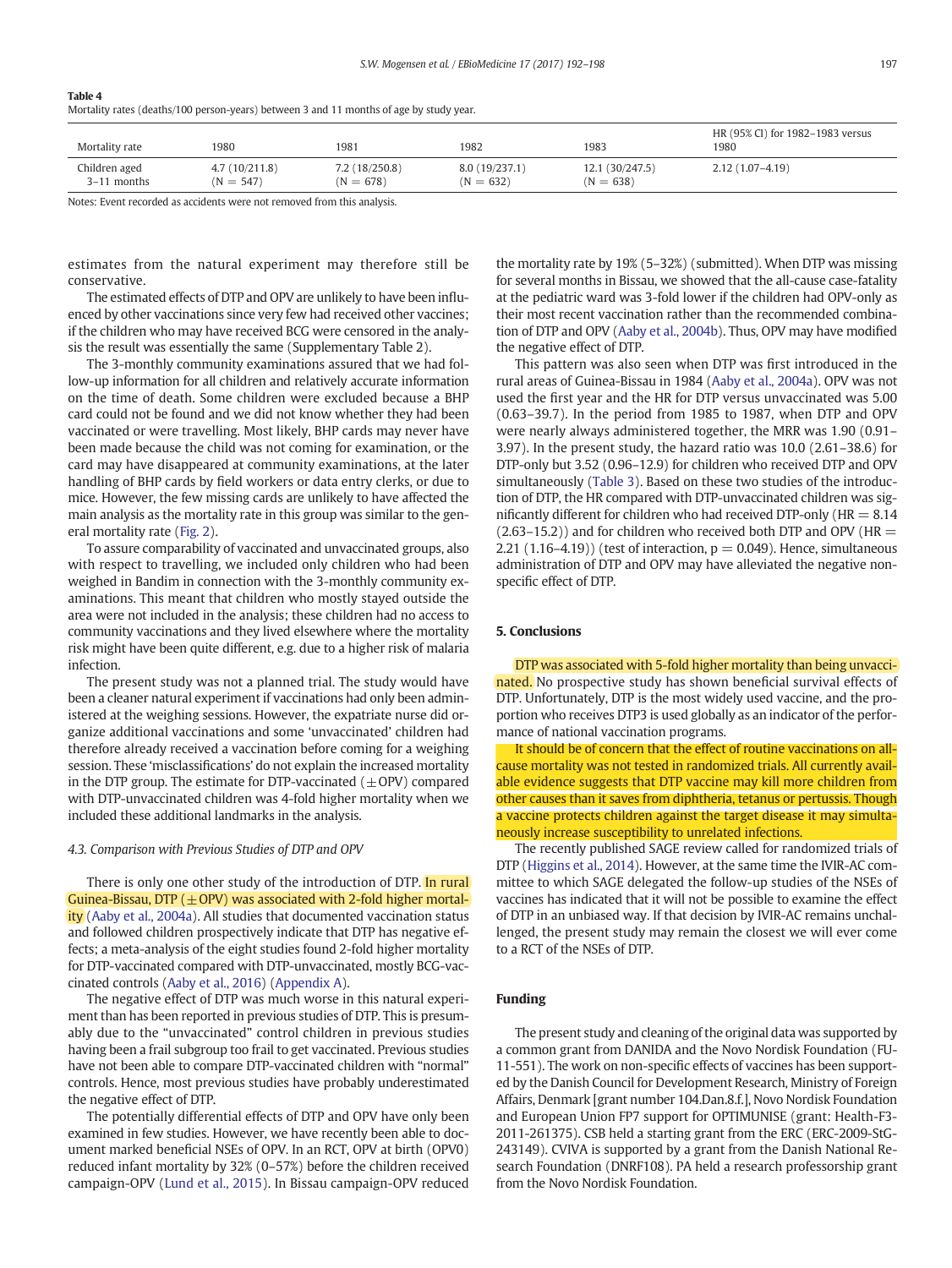<span id="page-5-0"></span>

| Table 4                                                                                 |  |
|-----------------------------------------------------------------------------------------|--|
| Mortality rates (deaths/100 person-years) between 3 and 11 months of age by study year. |  |

| Mortality rate | 1980          | 1981          | 1982          | 1983           | HR (95% CI) for 1982-1983 versus<br>1980 |
|----------------|---------------|---------------|---------------|----------------|------------------------------------------|
| Children aged  | 4.7(10/211.8) | 7.2(18/250.8) | 8.0(19/237.1) | 12.1(30/247.5) | $2.12(1.07-4.19)$                        |
| 3-11 months    | $(N = 547)$   | $(N = 678)$   | $(N = 632)$   | $(N = 638)$    |                                          |

Notes: Event recorded as accidents were not removed from this analysis.

estimates from the natural experiment may therefore still be conservative.

The estimated effects of DTP and OPV are unlikely to have been influenced by other vaccinations since very few had received other vaccines; if the children who may have received BCG were censored in the analysis the result was essentially the same (Supplementary Table 2).

The 3-monthly community examinations assured that we had follow-up information for all children and relatively accurate information on the time of death. Some children were excluded because a BHP card could not be found and we did not know whether they had been vaccinated or were travelling. Most likely, BHP cards may never have been made because the child was not coming for examination, or the card may have disappeared at community examinations, at the later handling of BHP cards by field workers or data entry clerks, or due to mice. However, the few missing cards are unlikely to have affected the main analysis as the mortality rate in this group was similar to the general mortality rate ([Fig. 2](#page-2-0)).

To assure comparability of vaccinated and unvaccinated groups, also with respect to travelling, we included only children who had been weighed in Bandim in connection with the 3-monthly community examinations. This meant that children who mostly stayed outside the area were not included in the analysis; these children had no access to community vaccinations and they lived elsewhere where the mortality risk might have been quite different, e.g. due to a higher risk of malaria infection.

The present study was not a planned trial. The study would have been a cleaner natural experiment if vaccinations had only been administered at the weighing sessions. However, the expatriate nurse did organize additional vaccinations and some 'unvaccinated' children had therefore already received a vaccination before coming for a weighing session. These 'misclassifications' do not explain the increased mortality in the DTP group. The estimate for DTP-vaccinated  $(±$  OPV) compared with DTP-unvaccinated children was 4-fold higher mortality when we included these additional landmarks in the analysis.

#### 4.3. Comparison with Previous Studies of DTP and OPV

There is only one other study of the introduction of DTP. In rural Guinea-Bissau, DTP  $(\pm$  OPV) was associated with 2-fold higher mortal-ity [\(Aaby et al., 2004a](#page-6-0)). All studies that documented vaccination status and followed children prospectively indicate that DTP has negative effects; a meta-analysis of the eight studies found 2-fold higher mortality for DTP-vaccinated compared with DTP-unvaccinated, mostly BCG-vaccinated controls ([Aaby et al., 2016](#page-6-0)) [\(Appendix A\)](#page-6-0).

The negative effect of DTP was much worse in this natural experiment than has been reported in previous studies of DTP. This is presumably due to the "unvaccinated" control children in previous studies having been a frail subgroup too frail to get vaccinated. Previous studies have not been able to compare DTP-vaccinated children with "normal" controls. Hence, most previous studies have probably underestimated the negative effect of DTP.

The potentially differential effects of DTP and OPV have only been examined in few studies. However, we have recently been able to document marked beneficial NSEs of OPV. In an RCT, OPV at birth (OPV0) reduced infant mortality by 32% (0–57%) before the children received campaign-OPV ([Lund et al., 2015](#page-6-0)). In Bissau campaign-OPV reduced the mortality rate by 19% (5–32%) (submitted). When DTP was missing for several months in Bissau, we showed that the all-cause case-fatality at the pediatric ward was 3-fold lower if the children had OPV-only as their most recent vaccination rather than the recommended combination of DTP and OPV ([Aaby et al., 2004b](#page-6-0)). Thus, OPV may have modified the negative effect of DTP.

This pattern was also seen when DTP was first introduced in the rural areas of Guinea-Bissau in 1984 [\(Aaby et al., 2004a\)](#page-6-0). OPV was not used the first year and the HR for DTP versus unvaccinated was 5.00 (0.63–39.7). In the period from 1985 to 1987, when DTP and OPV were nearly always administered together, the MRR was 1.90 (0.91– 3.97). In the present study, the hazard ratio was 10.0 (2.61–38.6) for DTP-only but 3.52 (0.96–12.9) for children who received DTP and OPV simultaneously [\(Table 3](#page-4-0)). Based on these two studies of the introduction of DTP, the HR compared with DTP-unvaccinated children was significantly different for children who had received DTP-only ( $HR = 8.14$ )  $(2.63-15.2)$ ) and for children who received both DTP and OPV (HR = 2.21 (1.16–4.19)) (test of interaction,  $p = 0.049$ ). Hence, simultaneous administration of DTP and OPV may have alleviated the negative nonspecific effect of DTP.

#### 5. Conclusions

DTP was associated with 5-fold higher mortality than being unvaccinated. No prospective study has shown beneficial survival effects of DTP. Unfortunately, DTP is the most widely used vaccine, and the proportion who receives DTP3 is used globally as an indicator of the performance of national vaccination programs.

It should be of concern that the effect of routine vaccinations on allcause mortality was not tested in randomized trials. All currently available evidence suggests that DTP vaccine may kill more children from other causes than it saves from diphtheria, tetanus or pertussis. Though a vaccine protects children against the target disease it may simultaneously increase susceptibility to unrelated infections.

The recently published SAGE review called for randomized trials of DTP [\(Higgins et al., 2014\)](#page-6-0). However, at the same time the IVIR-AC committee to which SAGE delegated the follow-up studies of the NSEs of vaccines has indicated that it will not be possible to examine the effect of DTP in an unbiased way. If that decision by IVIR-AC remains unchallenged, the present study may remain the closest we will ever come to a RCT of the NSEs of DTP.

#### Funding

The present study and cleaning of the original data was supported by a common grant from DANIDA and the Novo Nordisk Foundation (FU-11-551). The work on non-specific effects of vaccines has been supported by the Danish Council for Development Research, Ministry of Foreign Affairs, Denmark [grant number 104.Dan.8.f.], Novo Nordisk Foundation and European Union FP7 support for OPTIMUNISE (grant: Health-F3- 2011-261375). CSB held a starting grant from the ERC (ERC-2009-StG-243149). CVIVA is supported by a grant from the Danish National Research Foundation (DNRF108). PA held a research professorship grant from the Novo Nordisk Foundation.